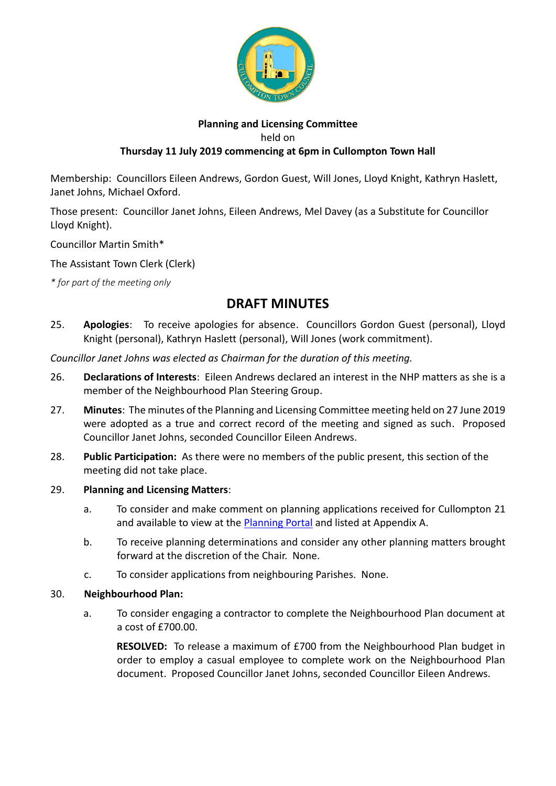

## **Planning and Licensing Committee** held on **Thursday 11 July 2019 commencing at 6pm in Cullompton Town Hall**

Membership: Councillors Eileen Andrews, Gordon Guest, Will Jones, Lloyd Knight, Kathryn Haslett, Janet Johns, Michael Oxford.

Those present: Councillor Janet Johns, Eileen Andrews, Mel Davey (as a Substitute for Councillor Lloyd Knight).

Councillor Martin Smith\*

The Assistant Town Clerk (Clerk)

*\* for part of the meeting only*

# **DRAFT MINUTES**

25. **Apologies**: To receive apologies for absence. Councillors Gordon Guest (personal), Lloyd Knight (personal), Kathryn Haslett (personal), Will Jones (work commitment).

*Councillor Janet Johns was elected as Chairman for the duration of this meeting.*

- 26. **Declarations of Interests**: Eileen Andrews declared an interest in the NHP matters as she is a member of the Neighbourhood Plan Steering Group.
- 27. **Minutes**: The minutes of the Planning and Licensing Committee meeting held on 27 June 2019 were adopted as a true and correct record of the meeting and signed as such. Proposed Councillor Janet Johns, seconded Councillor Eileen Andrews.
- 28. **Public Participation:** As there were no members of the public present, this section of the meeting did not take place.

## 29. **Planning and Licensing Matters**:

- a. To consider and make comment on planning applications received for Cullompton 21 and available to view at the [Planning Portal](https://planning.middevon.gov.uk/online-applications/search.do?action=simple&searchType=BuildingControl) and listed at Appendix A.
- b. To receive planning determinations and consider any other planning matters brought forward at the discretion of the Chair. None.
- c. To consider applications from neighbouring Parishes. None.

#### 30. **Neighbourhood Plan:**

a. To consider engaging a contractor to complete the Neighbourhood Plan document at a cost of £700.00.

**RESOLVED:** To release a maximum of £700 from the Neighbourhood Plan budget in order to employ a casual employee to complete work on the Neighbourhood Plan document. Proposed Councillor Janet Johns, seconded Councillor Eileen Andrews.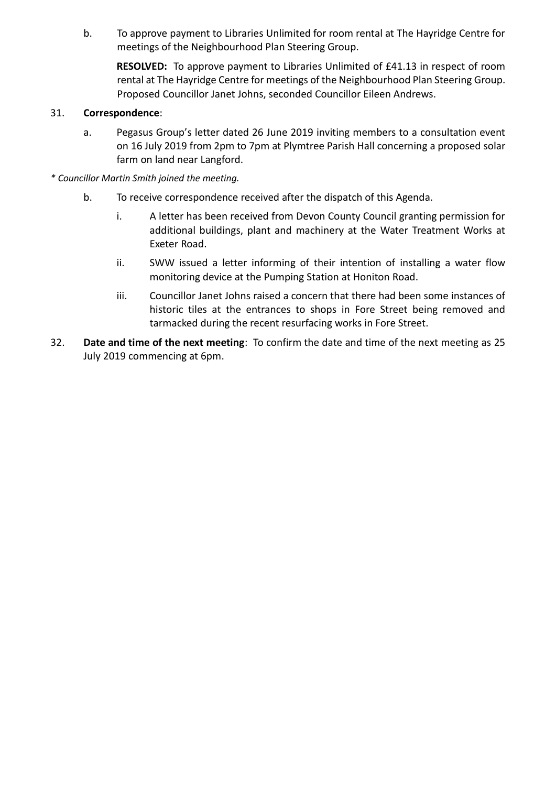b. To approve payment to Libraries Unlimited for room rental at The Hayridge Centre for meetings of the Neighbourhood Plan Steering Group.

**RESOLVED:** To approve payment to Libraries Unlimited of £41.13 in respect of room rental at The Hayridge Centre for meetings of the Neighbourhood Plan Steering Group. Proposed Councillor Janet Johns, seconded Councillor Eileen Andrews.

## 31. **Correspondence**:

- a. Pegasus Group's letter dated 26 June 2019 inviting members to a consultation event on 16 July 2019 from 2pm to 7pm at Plymtree Parish Hall concerning a proposed solar farm on land near Langford.
- *\* Councillor Martin Smith joined the meeting.*
	- b. To receive correspondence received after the dispatch of this Agenda.
		- i. A letter has been received from Devon County Council granting permission for additional buildings, plant and machinery at the Water Treatment Works at Exeter Road.
		- ii. SWW issued a letter informing of their intention of installing a water flow monitoring device at the Pumping Station at Honiton Road.
		- iii. Councillor Janet Johns raised a concern that there had been some instances of historic tiles at the entrances to shops in Fore Street being removed and tarmacked during the recent resurfacing works in Fore Street.
- 32. **Date and time of the next meeting**: To confirm the date and time of the next meeting as 25 July 2019 commencing at 6pm.